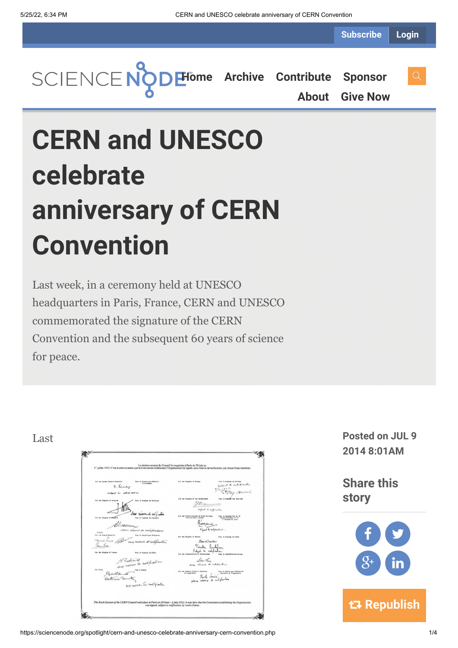**Subscribe Login**

**[Home](https://sciencenode.org/) [Archive](https://sciencenode.org/archive/index.php) [Contribute](https://sciencenode.org/contribute/index.php) [Sponsor](https://sciencenode.org/sponsor/index.php)**

**[About](https://sciencenode.org/about/index.php) [Give Now](https://sciencenode.org/donate/index.php)**

# **CERN and UNESCO celebrate anniversary of CERN Convention**

Last week, in a ceremony held at UNESCO headquarters in Paris, France, CERN and UNESCO commemorated the signature of the CERN Convention and the subsequent 60 years of science for peace.

### 《书 La sixième session du Conseil fut organisée à Paris du 29 juin au<br>casion que la Consention établiseant l'Organisation fut signée sous réserve de ratifi llet 1953 ("est à cette oc-2. timber The way read the sugar a respect Ligest to subspicetion ... R. Tour Walker Toucher Suphy<br>Subject to neighborg Rombinich ratification Amazine Power in Afgaingun Milionier<br>Paurle Source Proposition is togenisme<br>nukuruse di nachification  $Q_{\perp n} Q_{\text{de}}$ esse de rutiliation ook place in Paris on 29 June-1 July 1953. It was here th<br>was signed, subject to ratification, by twelve States.

Last **Posted on JUL 9 2014 8:01AM**

> **Share this story**

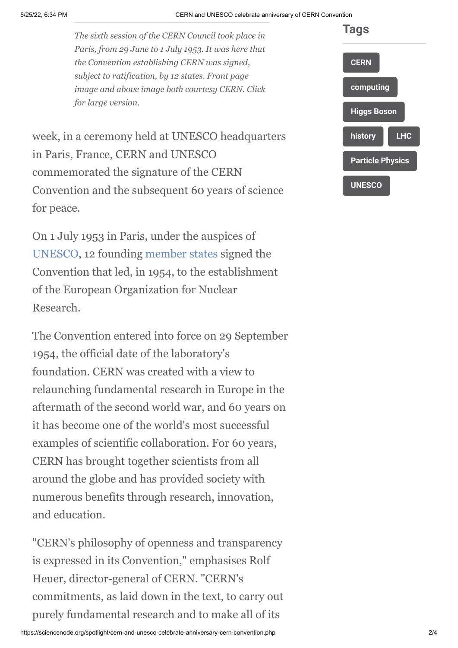*The sixth session of the CERN Council took place in Paris, from 29 June to 1 July 1953. It was here that the Convention establishing CERN was signed, subject to ratification, by 12 states. Front page image and above image both courtesy CERN. Click for large version.*

week, in a ceremony held at UNESCO headquarters in Paris, France, CERN and UNESCO commemorated the signature of the CERN Convention and the subsequent 60 years of science for peace.

On 1 July 1953 in Paris, under the auspices of [UNESCO](http://www.unesco.org/new/en/media-services/single-view/news/cern_celebrates_its_60th_anniversary_at_unesco-1/back/9597/#.U7KUUfmSzZh), 12 founding [member states](http://home.web.cern.ch/about/member-states) signed the Convention that led, in 1954, to the establishment of the European Organization for Nuclear Research.

The Convention entered into force on 29 September 1954, the official date of the laboratory's foundation. CERN was created with a view to relaunching fundamental research in Europe in the aftermath of the second world war, and 60 years on it has become one of the world's most successful examples of scientific collaboration. For 60 years, CERN has brought together scientists from all around the globe and has provided society with numerous benefits through research, innovation, and education.

"CERN's philosophy of openness and transparency is expressed in its Convention," emphasises Rolf Heuer, director-general of CERN. "CERN's commitments, as laid down in the text, to carry out purely fundamental research and to make all of its

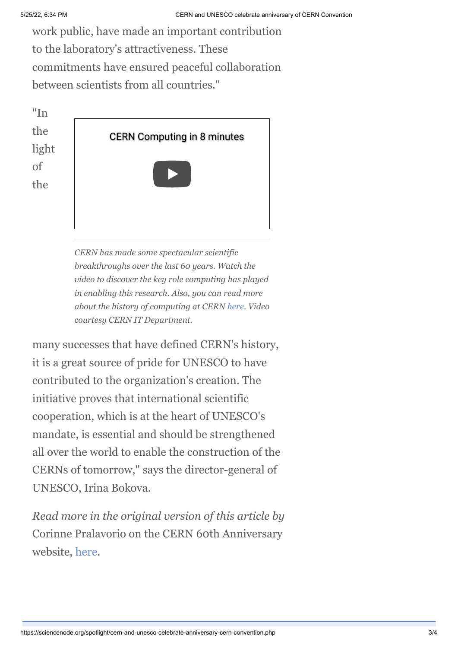work public, have made an important contribution to the laboratory's attractiveness. These commitments have ensured peaceful collaboration between scientists from all countries."



*CERN has made some spectacular scientific breakthroughs over the last 60 years. Watch the video to discover the key role computing has played in enabling this research. Also, you can read more about the history of computing at CERN [here](http://information-technology.web.cern.ch/about/computer-centre/computing-history). Video courtesy CERN IT Department.*

many successes that have defined CERN's history, it is a great source of pride for UNESCO to have contributed to the organization's creation. The initiative proves that international scientific cooperation, which is at the heart of UNESCO's mandate, is essential and should be strengthened all over the world to enable the construction of the CERNs of tomorrow," says the director-general of UNESCO, Irina Bokova.

*Read more in the original version of this article by* Corinne Pralavorio on the CERN 60th Anniversary website, [here](http://cern60.web.cern.ch/en/content/cern-and-unesco-celebrate-anniversary-signature-cern-convention).